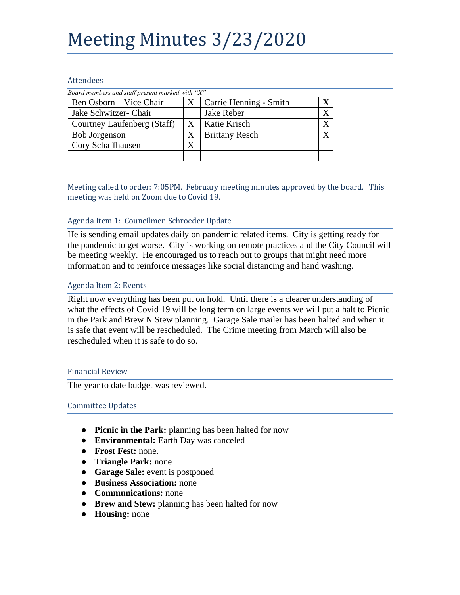# Meeting Minutes 3/23/2020

### Attendees

| Board members and staff present marked with " $X$ " |   |                        |  |
|-----------------------------------------------------|---|------------------------|--|
| Ben Osborn – Vice Chair                             | X | Carrie Henning - Smith |  |
| Jake Schwitzer- Chair                               |   | Jake Reber             |  |
| Courtney Laufenberg (Staff)                         | Χ | Katie Krisch           |  |
| <b>Bob Jorgenson</b>                                | X | <b>Brittany Resch</b>  |  |
| Cory Schaffhausen                                   |   |                        |  |
|                                                     |   |                        |  |

Meeting called to order: 7:05PM. February meeting minutes approved by the board. This meeting was held on Zoom due to Covid 19.

## Agenda Item 1: Councilmen Schroeder Update

He is sending email updates daily on pandemic related items. City is getting ready for the pandemic to get worse. City is working on remote practices and the City Council will be meeting weekly. He encouraged us to reach out to groups that might need more information and to reinforce messages like social distancing and hand washing.

## Agenda Item 2: Events

Right now everything has been put on hold. Until there is a clearer understanding of what the effects of Covid 19 will be long term on large events we will put a halt to Picnic in the Park and Brew N Stew planning. Garage Sale mailer has been halted and when it is safe that event will be rescheduled. The Crime meeting from March will also be rescheduled when it is safe to do so.

#### Financial Review

The year to date budget was reviewed.

#### Committee Updates

- **Picnic in the Park:** planning has been halted for now
- **Environmental:** Earth Day was canceled
- **Frost Fest:** none.
- **Triangle Park:** none
- **Garage Sale:** event is postponed
- **Business Association:** none
- **Communications:** none
- **Brew and Stew:** planning has been halted for now
- **Housing:** none